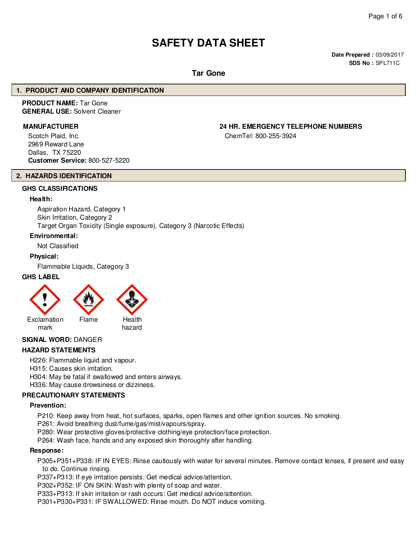# **SAFETY DATA SHEET**

**Date Prepared :** 03/09/2017 **SDS No :** SPL711C

#### **Tar Gone**

#### **1. PRODUCT AND COMPANY IDENTIFICATION**

#### **PRODUCT NAME:** Tar Gone **GENERAL USE:** Solvent Cleaner

Scotch Plaid, Inc. 2969 Reward Lane Dallas, TX 75220 **Customer Service:** 800-527-5220

## **2. HAZARDS IDENTIFICATION**

#### **GHS CLASSIFICATIONS**

#### **Health:**

Aspiration Hazard, Category 1 Skin Irritation, Category 2 Target Organ Toxicity (Single exposure), Category 3 (Narcotic Effects)

#### **Environmental:**

Not Classified

#### **Physical:**

Flammable Liquids, Category 3

#### **GHS LABEL**



#### **SIGNAL WORD:** DANGER

#### **HAZARD STATEMENTS**

H226: Flammable liquid and vapour.

- H315: Causes skin irritation.
- H304: May be fatal if swallowed and enters airways.

H336: May cause drowsiness or dizziness.

#### **PRECAUTIONARY STATEMENTS**

#### **Prevention:**

P210: Keep away from heat, hot surfaces, sparks, open flames and other ignition sources. No smoking.

- P261: Avoid breathing dust/fume/gas/mist/vapours/spray.
- P280: Wear protective gloves/protective clothing/eye protection/face protection.
- P264: Wash face, hands and any exposed skin thoroughly after handling.

#### **Response:**

P305+P351+P338: IF IN EYES: Rinse cautiously with water for several minutes. Remove contact lenses, if present and easy to do. Continue rinsing.

P337+P313: If eye irritation persists: Get medical advice/attention.

P302+P352: IF ON SKIN: Wash with plenty of soap and water.

P333+P313: If skin irritation or rash occurs: Get medical advice/attention.

P301+P330+P331: IF SWALLOWED: Rinse mouth. Do NOT induce vomiting.

**MANUFACTURER 24 HR. EMERGENCY TELEPHONE NUMBERS**

ChemTel: 800-255-3924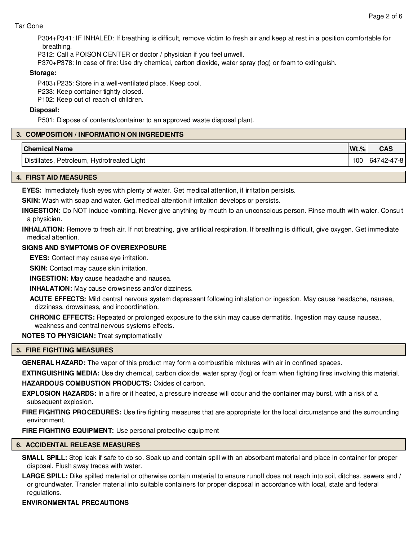#### Tar Gone

P304+P341: IF INHALED: If breathing is difficult, remove victim to fresh air and keep at rest in a position comfortable for breathing.

P312: Call a POISON CENTER or doctor / physician if you feel unwell.

P370+P378: In case of fire: Use dry chemical, carbon dioxide, water spray (fog) or foam to extinguish.

#### **Storage:**

P403+P235: Store in a well-ventilated place. Keep cool.

P233: Keep container tightly closed.

P102: Keep out of reach of children.

#### **Disposal:**

P501: Dispose of contents/container to an approved waste disposal plant.

#### **3. COMPOSITION / INFORMATION ON INGREDIENTS**

| <b>Chemical Name</b>                       | $Wt.\%$ | <b>CAS</b> |
|--------------------------------------------|---------|------------|
| Distillates, Petroleum, Hydrotreated Light | 100     | 64742-47-8 |

#### **4. FIRST AID MEASURES**

**EYES:** Immediately flush eyes with plenty of water. Get medical attention, if irritation persists.

**SKIN:** Wash with soap and water. Get medical attention if irritation develops or persists.

**INGESTION:** Do NOT induce vomiting. Never give anything by mouth to an unconscious person. Rinse mouth with water. Consult a physician.

**INHALATION:** Remove to fresh air. If not breathing, give artificial respiration. If breathing is difficult, give oxygen. Get immediate medical attention.

#### **SIGNS AND SYMPTOMS OF OVEREXPOSURE**

**EYES:** Contact may cause eye irritation.

**SKIN:** Contact may cause skin irritation.

**INGESTION:** May cause headache and nausea.

**INHALATION:** May cause drowsiness and/or dizziness.

**ACUTE EFFECTS:** Mild central nervous system depressant following inhalation or ingestion. May cause headache, nausea, dizziness, drowsiness, and incoordination.

**CHRONIC EFFECTS:** Repeated or prolonged exposure to the skin may cause dermatitis. Ingestion may cause nausea, weakness and central nervous systems effects.

**NOTES TO PHYSICIAN:** Treat symptomatically

#### **5. FIRE FIGHTING MEASURES**

**GENERAL HAZARD:** The vapor of this product may form a combustible mixtures with air in confined spaces.

**EXTINGUISHING MEDIA:** Use dry chemical, carbon dioxide, water spray (fog) or foam when fighting fires involving this material. **HAZARDOUS COMBUSTION PRODUCTS:** Oxides of carbon.

**EXPLOSION HAZARDS:** In a fire or if heated, a pressure increase will occur and the container may burst, with a risk of a subsequent explosion.

**FIRE FIGHTING PROCEDURES:** Use fire fighting measures that are appropriate for the local circumstance and the surrounding environment.

**FIRE FIGHTING EQUIPMENT:** Use personal protective equipment

#### **6. ACCIDENTAL RELEASE MEASURES**

**SMALL SPILL:** Stop leak if safe to do so. Soak up and contain spill with an absorbant material and place in container for proper disposal. Flush away traces with water.

**LARGE SPILL:** Dike spilled material or otherwise contain material to ensure runoff does not reach into soil, ditches, sewers and / or groundwater. Transfer material into suitable containers for proper disposal in accordance with local, state and federal regulations.

#### **ENVIRONMENTAL PRECAUTIONS**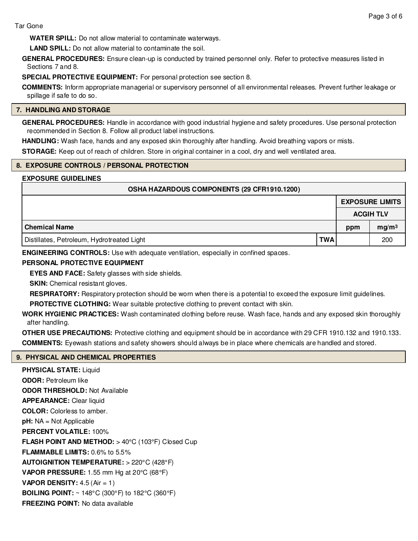**WATER SPILL:** Do not allow material to contaminate waterways.

**LAND SPILL:** Do not allow material to contaminate the soil.

**GENERAL PROCEDURES:** Ensure clean-up is conducted by trained personnel only. Refer to protective measures listed in Sections 7 and 8.

**SPECIAL PROTECTIVE EQUIPMENT:** For personal protection see section 8.

**COMMENTS:** Inform appropriate managerial or supervisory personnel of all environmental releases. Prevent further leakage or spillage if safe to do so.

#### **7. HANDLING AND STORAGE**

**GENERAL PROCEDURES:** Handle in accordance with good industrial hygiene and safety procedures. Use personal protection recommended in Section 8. Follow all product label instructions.

**HANDLING:** Wash face, hands and any exposed skin thoroughly after handling. Avoid breathing vapors or mists.

**STORAGE:** Keep out of reach of children. Store in original container in a cool, dry and well ventilated area.

#### **8. EXPOSURE CONTROLS / PERSONAL PROTECTION**

#### **EXPOSURE GUIDELINES**

| OSHA HAZARDOUS COMPONENTS (29 CFR1910.1200) |            |     |                        |  |  |
|---------------------------------------------|------------|-----|------------------------|--|--|
|                                             |            |     | <b>EXPOSURE LIMITS</b> |  |  |
|                                             |            |     | <b>ACGIH TLV</b>       |  |  |
| <b>Chemical Name</b>                        |            | ppm | mg/m <sup>3</sup>      |  |  |
| Distillates, Petroleum, Hydrotreated Light  | <b>TWA</b> |     | 200                    |  |  |

**ENGINEERING CONTROLS:** Use with adequate ventilation, especially in confined spaces.

#### **PERSONAL PROTECTIVE EQUIPMENT**

**EYES AND FACE:** Safety glasses with side shields.

**SKIN:** Chemical resistant gloves.

**RESPIRATORY:** Respiratory protection should be worn when there is a potential to exceed the exposure limit guidelines.

**PROTECTIVE CLOTHING:** Wear suitable protective clothing to prevent contact with skin.

**WORK HYGIENIC PRACTICES:** Wash contaminated clothing before reuse. Wash face, hands and any exposed skin thoroughly after handling.

**OTHER USE PRECAUTIONS:** Protective clothing and equipment should be in accordance with 29 CFR 1910.132 and 1910.133. **COMMENTS:** Eyewash stations and safety showers should always be in place where chemicals are handled and stored.

#### **9. PHYSICAL AND CHEMICAL PROPERTIES**

**PHYSICAL STATE: Liquid ODOR:** Petroleum like **ODOR THRESHOLD:** Not Available **APPEARANCE:** Clear liquid **COLOR:** Colorless to amber. **pH:** NA = Not Applicable **PERCENT VOLATILE:** 100% **FLASH POINT AND METHOD:** > 40°C (103°F) Closed Cup **FLAMMABLE LIMITS:** 0.6% to 5.5% **AUTOIGNITION TEMPERATURE:** > 220°C (428°F) **VAPOR PRESSURE:** 1.55 mm Hg at 20°C (68°F) **VAPOR DENSITY:** 4.5 (Air = 1) **BOILING POINT:** ~ 148°C (300°F) to 182°C (360°F) **FREEZING POINT:** No data available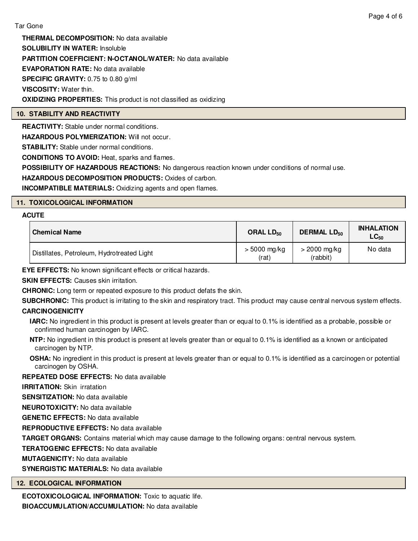**THERMAL DECOMPOSITION:** No data available **SOLUBILITY IN WATER:** Insoluble **PARTITION COEFFICIENT: N-OCTANOL/WATER:** No data available **EVAPORATION RATE:** No data available **SPECIFIC GRAVITY:** 0.75 to 0.80 g/ml **VISCOSITY:** Water thin. **OXIDIZING PROPERTIES:** This product is not classified as oxidizing

#### **10. STABILITY AND REACTIVITY**

**REACTIVITY:** Stable under normal conditions.

**HAZARDOUS POLYMERIZATION:** Will not occur.

**STABILITY:** Stable under normal conditions.

**CONDITIONS TO AVOID:** Heat, sparks and flames.

**POSSIBILITY OF HAZARDOUS REACTIONS:** No dangerous reaction known under conditions of normal use.

**HAZARDOUS DECOMPOSITION PRODUCTS:** Oxides of carbon.

**INCOMPATIBLE MATERIALS:** Oxidizing agents and open flames.

#### **11. TOXICOLOGICAL INFORMATION**

#### **ACUTE**

| <b>Chemical Name</b>                       | ORAL LD <sub>50</sub>   | <b>DERMAL LD<sub>50</sub></b> | <b>INHALATION</b><br>$\mathsf{LC}_{50}$ |
|--------------------------------------------|-------------------------|-------------------------------|-----------------------------------------|
| Distillates, Petroleum, Hydrotreated Light | $> 5000$ mg/kg<br>(rat) | $>$ 2000 mg/kg<br>(rabbit)    | No data                                 |

**EYE EFFECTS:** No known significant effects or critical hazards.

**SKIN EFFECTS:** Causes skin irritation.

**CHRONIC:** Long term or repeated exposure to this product defats the skin.

**SUBCHRONIC:** This product is irritating to the skin and respiratory tract. This product may cause central nervous system effects.

#### **CARCINOGENICITY**

- **IARC:** No ingredient in this product is present at levels greater than or equal to 0.1% is identified as a probable, possible or confirmed human carcinogen by IARC.
- **NTP:** No ingredient in this product is present at levels greater than or equal to 0.1% is identified as a known or anticipated carcinogen by NTP.
- **OSHA:** No ingredient in this product is present at levels greater than or equal to 0.1% is identified as a carcinogen or potential carcinogen by OSHA.

#### **REPEATED DOSE EFFECTS:** No data available

**IRRITATION:** Skin irratation

**SENSITIZATION:** No data available

**NEUROTOXICITY:** No data available

**GENETIC EFFECTS:** No data available

**REPRODUCTIVE EFFECTS:** No data available

**TARGET ORGANS:** Contains material which may cause damage to the following organs: central nervous system.

**TERATOGENIC EFFECTS:** No data available

#### **MUTAGENICITY:** No data available

**SYNERGISTIC MATERIALS:** No data available

#### **12. ECOLOGICAL INFORMATION**

**ECOTOXICOLOGICAL INFORMATION:** Toxic to aquatic life. **BIOACCUMULATION/ACCUMULATION:** No data available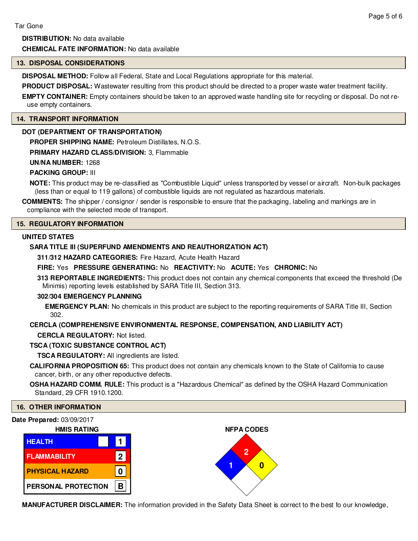#### **13. DISPOSAL CONSIDERATIONS**

**DISPOSAL METHOD:** Follow all Federal, State and Local Regulations appropriate for this material.

**PRODUCT DISPOSAL:** Wastewater resulting from this product should be directed to a proper waste water treatment facility.

**EMPTY CONTAINER:** Empty containers should be taken to an approved waste handling site for recycling or disposal. Do not reuse empty containers.

#### **14. TRANSPORT INFORMATION**

#### **DOT (DEPARTMENT OF TRANSPORTATION)**

**PROPER SHIPPING NAME:** Petroleum Distillates, N.O.S.

**PRIMARY HAZARD CLASS/DIVISION:** 3, Flammable

#### **UN/NA NUMBER:** 1268

### **PACKING GROUP:** III

**NOTE:** This product may be re-classified as "Combustible Liquid" unless transported by vessel or aircraft. Non-bulk packages (less than or equal to 119 gallons) of combustible liquids are not regulated as hazardous materials.

**COMMENTS:** The shipper / consignor / sender is responsible to ensure that the packaging, labeling and markings are in compliance with the selected mode of transport.

#### **15. REGULATORY INFORMATION**

#### **UNITED STATES**

#### **SARA TITLE III (SUPERFUND AMENDMENTS AND REAUTHORIZATION ACT)**

**311/312 HAZARD CATEGORIES:** Fire Hazard, Acute Health Hazard

#### **FIRE:** Yes **PRESSURE GENERATING:** No **REACTIVITY:** No **ACUTE:** Yes **CHRONIC:** No

**313 REPORTABLE INGREDIENTS:** This product does not contain any chemical components that exceed the threshold (De Minimis) reporting levels established by SARA Title III, Section 313.

#### **302/304 EMERGENCY PLANNING**

**EMERGENCY PLAN:** No chemicals in this product are subject to the reporting requirements of SARA Title III, Section 302.

#### **CERCLA (COMPREHENSIVE ENVIRONMENTAL RESPONSE, COMPENSATION, AND LIABILITY ACT)**

**CERCLA REGULATORY:** Not listed.

#### **TSCA (TOXIC SUBSTANCE CONTROL ACT)**

**TSCA REGULATORY:** All ingredients are listed.

**CALIFORNIA PROPOSITION 65:** This product does not contain any chemicals known to the State of California to cause cancer, birth, or any other repoductive defects.

**OSHA HAZARD COMM. RULE:** This product is a "Hazardous Chemical" as defined by the OSHA Hazard Communication Standard, 29 CFR 1910.1200.

#### **16. OTHER INFORMATION**

#### **Date Prepared:** 03/09/2017



**MANUFACTURER DISCLAIMER:** The information provided in the Safety Data Sheet is correct to the best fo our knowledge,